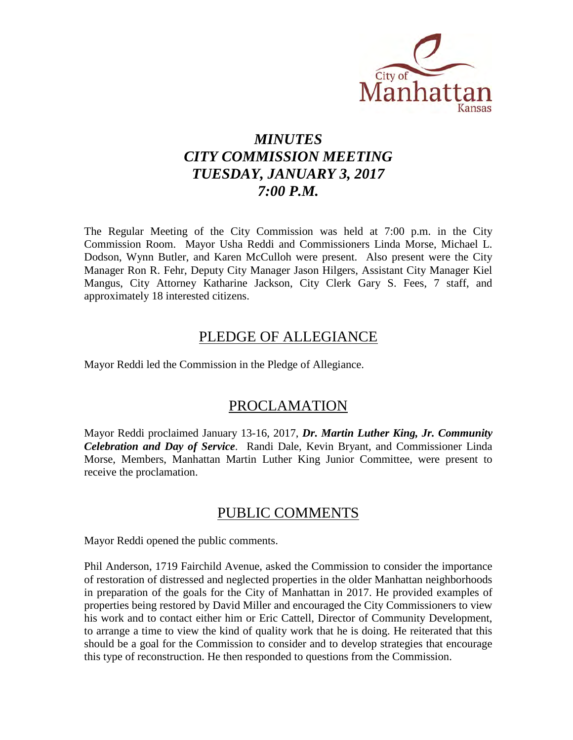

# *MINUTES CITY COMMISSION MEETING TUESDAY, JANUARY 3, 2017 7:00 P.M.*

The Regular Meeting of the City Commission was held at 7:00 p.m. in the City Commission Room. Mayor Usha Reddi and Commissioners Linda Morse, Michael L. Dodson, Wynn Butler, and Karen McCulloh were present. Also present were the City Manager Ron R. Fehr, Deputy City Manager Jason Hilgers, Assistant City Manager Kiel Mangus, City Attorney Katharine Jackson, City Clerk Gary S. Fees, 7 staff, and approximately 18 interested citizens.

## PLEDGE OF ALLEGIANCE

Mayor Reddi led the Commission in the Pledge of Allegiance.

## PROCLAMATION

Mayor Reddi proclaimed January 13-16, 2017, *Dr. Martin Luther King, Jr. Community Celebration and Day of Service*. Randi Dale, Kevin Bryant, and Commissioner Linda Morse, Members, Manhattan Martin Luther King Junior Committee, were present to receive the proclamation.

## PUBLIC COMMENTS

Mayor Reddi opened the public comments.

Phil Anderson, 1719 Fairchild Avenue, asked the Commission to consider the importance of restoration of distressed and neglected properties in the older Manhattan neighborhoods in preparation of the goals for the City of Manhattan in 2017. He provided examples of properties being restored by David Miller and encouraged the City Commissioners to view his work and to contact either him or Eric Cattell, Director of Community Development, to arrange a time to view the kind of quality work that he is doing. He reiterated that this should be a goal for the Commission to consider and to develop strategies that encourage this type of reconstruction. He then responded to questions from the Commission.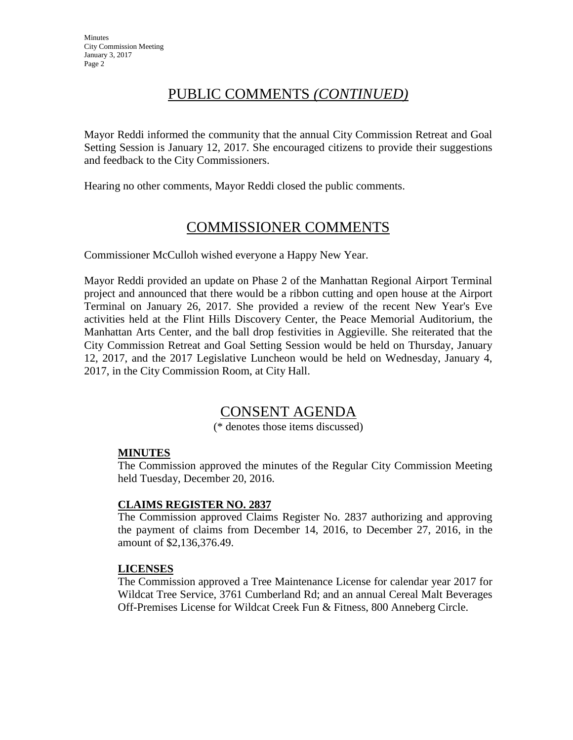# PUBLIC COMMENTS *(CONTINUED)*

Mayor Reddi informed the community that the annual City Commission Retreat and Goal Setting Session is January 12, 2017. She encouraged citizens to provide their suggestions and feedback to the City Commissioners.

Hearing no other comments, Mayor Reddi closed the public comments.

# COMMISSIONER COMMENTS

Commissioner McCulloh wished everyone a Happy New Year.

Mayor Reddi provided an update on Phase 2 of the Manhattan Regional Airport Terminal project and announced that there would be a ribbon cutting and open house at the Airport Terminal on January 26, 2017. She provided a review of the recent New Year's Eve activities held at the Flint Hills Discovery Center, the Peace Memorial Auditorium, the Manhattan Arts Center, and the ball drop festivities in Aggieville. She reiterated that the City Commission Retreat and Goal Setting Session would be held on Thursday, January 12, 2017, and the 2017 Legislative Luncheon would be held on Wednesday, January 4, 2017, in the City Commission Room, at City Hall.

## CONSENT AGENDA

(\* denotes those items discussed)

### **MINUTES**

The Commission approved the minutes of the Regular City Commission Meeting held Tuesday, December 20, 2016.

### **CLAIMS REGISTER NO. 2837**

The Commission approved Claims Register No. 2837 authorizing and approving the payment of claims from December 14, 2016, to December 27, 2016, in the amount of \$2,136,376.49.

### **LICENSES**

The Commission approved a Tree Maintenance License for calendar year 2017 for Wildcat Tree Service, 3761 Cumberland Rd; and an annual Cereal Malt Beverages Off-Premises License for Wildcat Creek Fun & Fitness, 800 Anneberg Circle.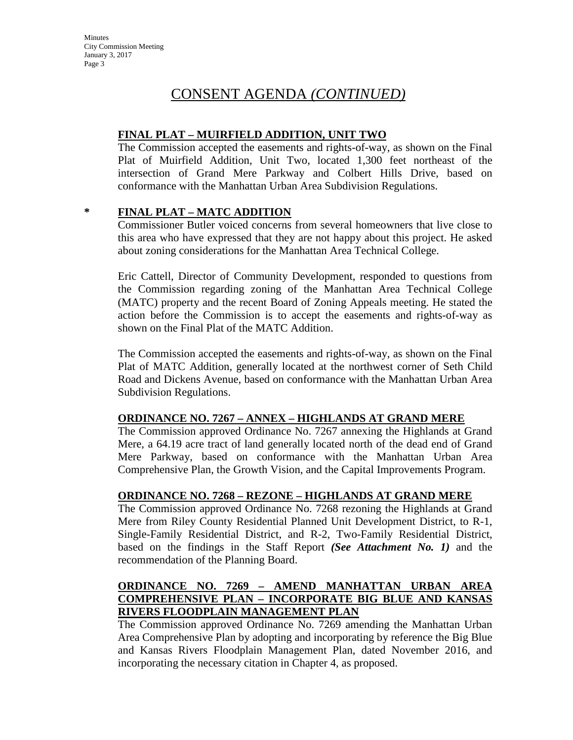## CONSENT AGENDA *(CONTINUED)*

### **FINAL PLAT – MUIRFIELD ADDITION, UNIT TWO**

The Commission accepted the easements and rights-of-way, as shown on the Final Plat of Muirfield Addition, Unit Two, located 1,300 feet northeast of the intersection of Grand Mere Parkway and Colbert Hills Drive, based on conformance with the Manhattan Urban Area Subdivision Regulations.

### **\* FINAL PLAT – MATC ADDITION**

Commissioner Butler voiced concerns from several homeowners that live close to this area who have expressed that they are not happy about this project. He asked about zoning considerations for the Manhattan Area Technical College.

Eric Cattell, Director of Community Development, responded to questions from the Commission regarding zoning of the Manhattan Area Technical College (MATC) property and the recent Board of Zoning Appeals meeting. He stated the action before the Commission is to accept the easements and rights-of-way as shown on the Final Plat of the MATC Addition.

The Commission accepted the easements and rights-of-way, as shown on the Final Plat of MATC Addition, generally located at the northwest corner of Seth Child Road and Dickens Avenue, based on conformance with the Manhattan Urban Area Subdivision Regulations.

### **ORDINANCE NO. 7267 – ANNEX – HIGHLANDS AT GRAND MERE**

The Commission approved Ordinance No. 7267 annexing the Highlands at Grand Mere, a 64.19 acre tract of land generally located north of the dead end of Grand Mere Parkway, based on conformance with the Manhattan Urban Area Comprehensive Plan, the Growth Vision, and the Capital Improvements Program.

### **ORDINANCE NO. 7268 – REZONE – HIGHLANDS AT GRAND MERE**

The Commission approved Ordinance No. 7268 rezoning the Highlands at Grand Mere from Riley County Residential Planned Unit Development District, to R-1, Single-Family Residential District, and R-2, Two-Family Residential District, based on the findings in the Staff Report *(See Attachment No. 1)* and the recommendation of the Planning Board.

## **ORDINANCE NO. 7269 – AMEND MANHATTAN URBAN AREA COMPREHENSIVE PLAN – INCORPORATE BIG BLUE AND KANSAS RIVERS FLOODPLAIN MANAGEMENT PLAN**

The Commission approved Ordinance No. 7269 amending the Manhattan Urban Area Comprehensive Plan by adopting and incorporating by reference the Big Blue and Kansas Rivers Floodplain Management Plan, dated November 2016, and incorporating the necessary citation in Chapter 4, as proposed.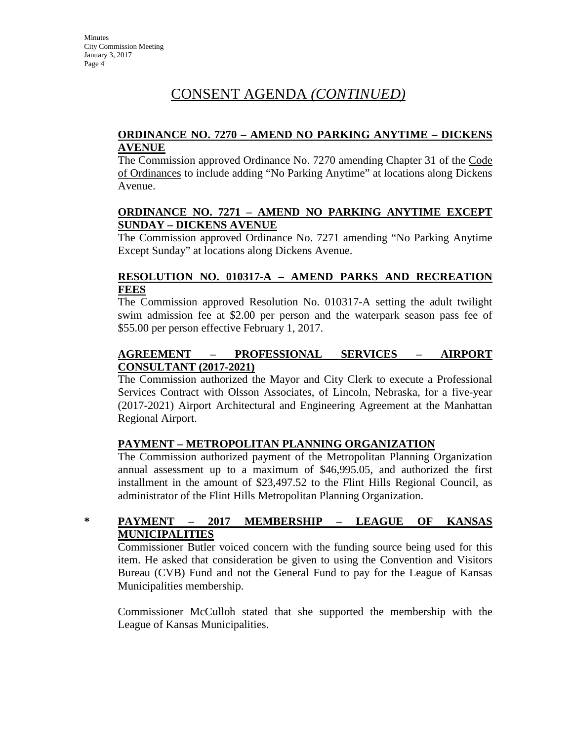# CONSENT AGENDA *(CONTINUED)*

### **ORDINANCE NO. 7270 – AMEND NO PARKING ANYTIME – DICKENS AVENUE**

The Commission approved Ordinance No. 7270 amending Chapter 31 of the Code of Ordinances to include adding "No Parking Anytime" at locations along Dickens Avenue.

### **ORDINANCE NO. 7271 – AMEND NO PARKING ANYTIME EXCEPT SUNDAY – DICKENS AVENUE**

The Commission approved Ordinance No. 7271 amending "No Parking Anytime Except Sunday" at locations along Dickens Avenue.

### **RESOLUTION NO. 010317-A – AMEND PARKS AND RECREATION FEES**

The Commission approved Resolution No. 010317-A setting the adult twilight swim admission fee at \$2.00 per person and the waterpark season pass fee of \$55.00 per person effective February 1, 2017.

## **AGREEMENT – PROFESSIONAL SERVICES – AIRPORT CONSULTANT (2017-2021)**

The Commission authorized the Mayor and City Clerk to execute a Professional Services Contract with Olsson Associates, of Lincoln, Nebraska, for a five-year (2017-2021) Airport Architectural and Engineering Agreement at the Manhattan Regional Airport.

### **PAYMENT – METROPOLITAN PLANNING ORGANIZATION**

The Commission authorized payment of the Metropolitan Planning Organization annual assessment up to a maximum of \$46,995.05, and authorized the first installment in the amount of \$23,497.52 to the Flint Hills Regional Council, as administrator of the Flint Hills Metropolitan Planning Organization.

## **\* PAYMENT – 2017 MEMBERSHIP – LEAGUE OF KANSAS MUNICIPALITIES**

Commissioner Butler voiced concern with the funding source being used for this item. He asked that consideration be given to using the Convention and Visitors Bureau (CVB) Fund and not the General Fund to pay for the League of Kansas Municipalities membership.

Commissioner McCulloh stated that she supported the membership with the League of Kansas Municipalities.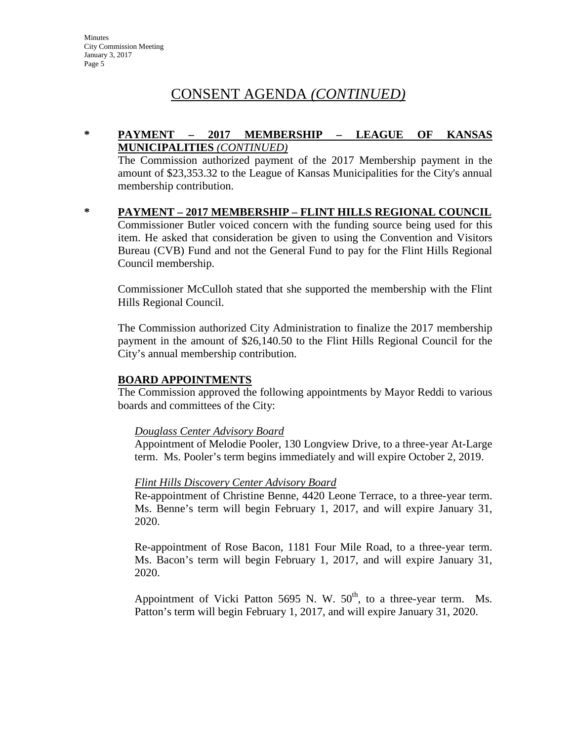# CONSENT AGENDA *(CONTINUED)*

### **\* PAYMENT – 2017 MEMBERSHIP – LEAGUE OF KANSAS MUNICIPALITIES** *(CONTINUED)*

The Commission authorized payment of the 2017 Membership payment in the amount of \$23,353.32 to the League of Kansas Municipalities for the City's annual membership contribution.

**\* PAYMENT – 2017 MEMBERSHIP – FLINT HILLS REGIONAL COUNCIL** Commissioner Butler voiced concern with the funding source being used for this item. He asked that consideration be given to using the Convention and Visitors Bureau (CVB) Fund and not the General Fund to pay for the Flint Hills Regional Council membership.

Commissioner McCulloh stated that she supported the membership with the Flint Hills Regional Council.

The Commission authorized City Administration to finalize the 2017 membership payment in the amount of \$26,140.50 to the Flint Hills Regional Council for the City's annual membership contribution.

### **BOARD APPOINTMENTS**

The Commission approved the following appointments by Mayor Reddi to various boards and committees of the City:

### *Douglass Center Advisory Board*

Appointment of Melodie Pooler, 130 Longview Drive, to a three-year At-Large term. Ms. Pooler's term begins immediately and will expire October 2, 2019.

### *Flint Hills Discovery Center Advisory Board*

Re-appointment of Christine Benne, 4420 Leone Terrace, to a three-year term. Ms. Benne's term will begin February 1, 2017, and will expire January 31, 2020.

Re-appointment of Rose Bacon, 1181 Four Mile Road, to a three-year term. Ms. Bacon's term will begin February 1, 2017, and will expire January 31, 2020.

Appointment of Vicki Patton 5695 N. W.  $50<sup>th</sup>$ , to a three-year term. Ms. Patton's term will begin February 1, 2017, and will expire January 31, 2020.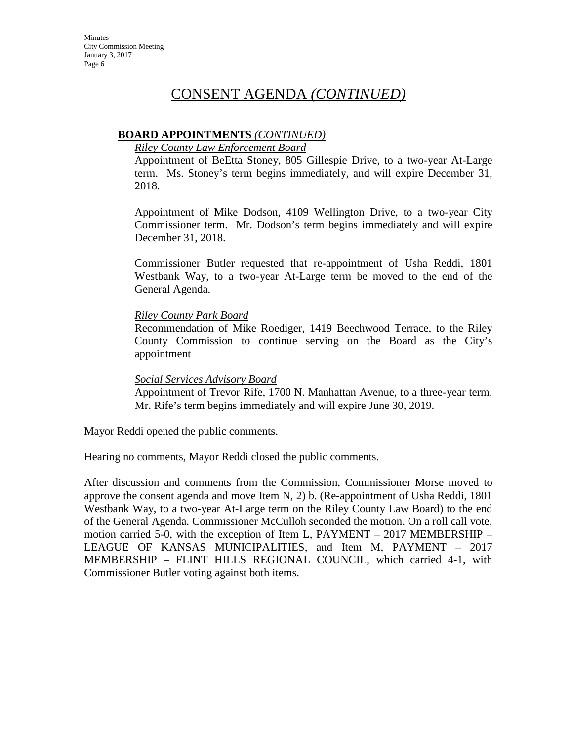## CONSENT AGENDA *(CONTINUED)*

### **BOARD APPOINTMENTS** *(CONTINUED)*

### *Riley County Law Enforcement Board*

Appointment of BeEtta Stoney, 805 Gillespie Drive, to a two-year At-Large term. Ms. Stoney's term begins immediately, and will expire December 31, 2018.

Appointment of Mike Dodson, 4109 Wellington Drive, to a two-year City Commissioner term. Mr. Dodson's term begins immediately and will expire December 31, 2018.

Commissioner Butler requested that re-appointment of Usha Reddi, 1801 Westbank Way, to a two-year At-Large term be moved to the end of the General Agenda.

### *Riley County Park Board*

Recommendation of Mike Roediger, 1419 Beechwood Terrace, to the Riley County Commission to continue serving on the Board as the City's appointment

### *Social Services Advisory Board*

Appointment of Trevor Rife, 1700 N. Manhattan Avenue, to a three-year term. Mr. Rife's term begins immediately and will expire June 30, 2019.

Mayor Reddi opened the public comments.

Hearing no comments, Mayor Reddi closed the public comments.

After discussion and comments from the Commission, Commissioner Morse moved to approve the consent agenda and move Item N, 2) b. (Re-appointment of Usha Reddi, 1801 Westbank Way, to a two-year At-Large term on the Riley County Law Board) to the end of the General Agenda. Commissioner McCulloh seconded the motion. On a roll call vote, motion carried 5-0, with the exception of Item L, PAYMENT – 2017 MEMBERSHIP – LEAGUE OF KANSAS MUNICIPALITIES, and Item M, PAYMENT – 2017 MEMBERSHIP – FLINT HILLS REGIONAL COUNCIL, which carried 4-1, with Commissioner Butler voting against both items.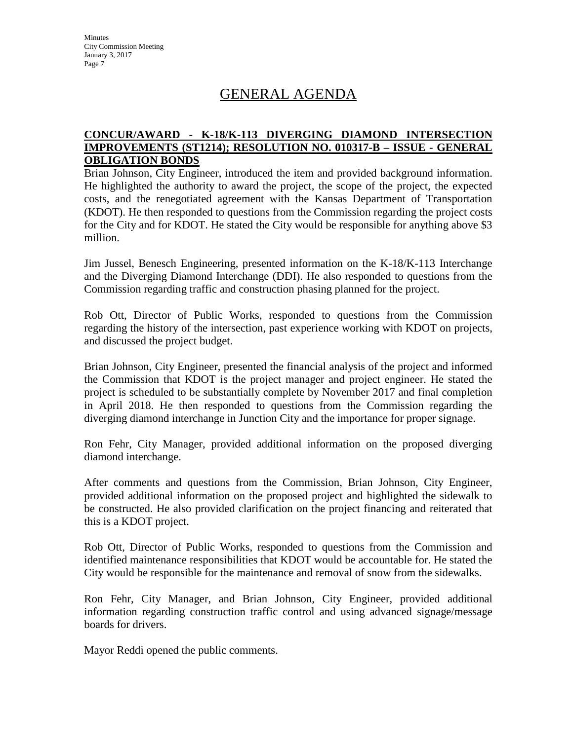# GENERAL AGENDA

### **CONCUR/AWARD - K-18/K-113 DIVERGING DIAMOND INTERSECTION IMPROVEMENTS (ST1214); RESOLUTION NO. 010317-B – ISSUE - GENERAL OBLIGATION BONDS**

Brian Johnson, City Engineer, introduced the item and provided background information. He highlighted the authority to award the project, the scope of the project, the expected costs, and the renegotiated agreement with the Kansas Department of Transportation (KDOT). He then responded to questions from the Commission regarding the project costs for the City and for KDOT. He stated the City would be responsible for anything above \$3 million.

Jim Jussel, Benesch Engineering, presented information on the K-18/K-113 Interchange and the Diverging Diamond Interchange (DDI). He also responded to questions from the Commission regarding traffic and construction phasing planned for the project.

Rob Ott, Director of Public Works, responded to questions from the Commission regarding the history of the intersection, past experience working with KDOT on projects, and discussed the project budget.

Brian Johnson, City Engineer, presented the financial analysis of the project and informed the Commission that KDOT is the project manager and project engineer. He stated the project is scheduled to be substantially complete by November 2017 and final completion in April 2018. He then responded to questions from the Commission regarding the diverging diamond interchange in Junction City and the importance for proper signage.

Ron Fehr, City Manager, provided additional information on the proposed diverging diamond interchange.

After comments and questions from the Commission, Brian Johnson, City Engineer, provided additional information on the proposed project and highlighted the sidewalk to be constructed. He also provided clarification on the project financing and reiterated that this is a KDOT project.

Rob Ott, Director of Public Works, responded to questions from the Commission and identified maintenance responsibilities that KDOT would be accountable for. He stated the City would be responsible for the maintenance and removal of snow from the sidewalks.

Ron Fehr, City Manager, and Brian Johnson, City Engineer, provided additional information regarding construction traffic control and using advanced signage/message boards for drivers.

Mayor Reddi opened the public comments.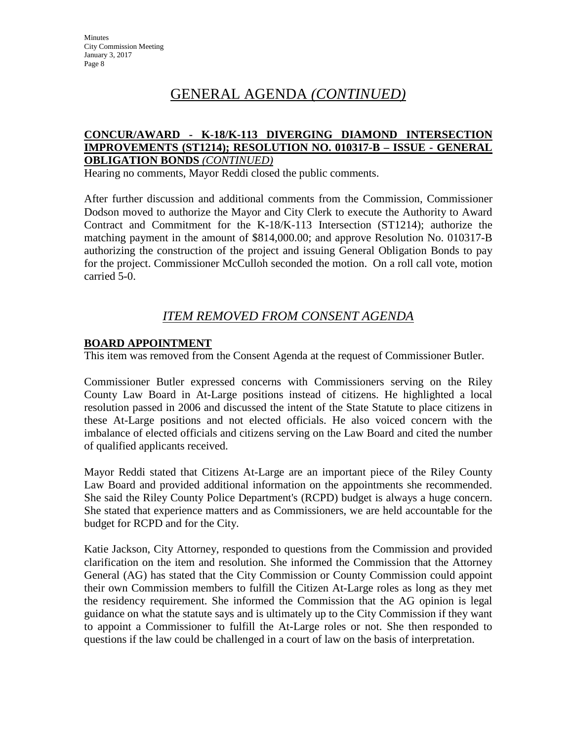# GENERAL AGENDA *(CONTINUED)*

### **CONCUR/AWARD - K-18/K-113 DIVERGING DIAMOND INTERSECTION IMPROVEMENTS (ST1214); RESOLUTION NO. 010317-B – ISSUE - GENERAL OBLIGATION BONDS** *(CONTINUED)*

Hearing no comments, Mayor Reddi closed the public comments.

After further discussion and additional comments from the Commission, Commissioner Dodson moved to authorize the Mayor and City Clerk to execute the Authority to Award Contract and Commitment for the K-18/K-113 Intersection (ST1214); authorize the matching payment in the amount of \$814,000.00; and approve Resolution No. 010317-B authorizing the construction of the project and issuing General Obligation Bonds to pay for the project. Commissioner McCulloh seconded the motion. On a roll call vote, motion carried 5-0.

## *ITEM REMOVED FROM CONSENT AGENDA*

### **BOARD APPOINTMENT**

This item was removed from the Consent Agenda at the request of Commissioner Butler.

Commissioner Butler expressed concerns with Commissioners serving on the Riley County Law Board in At-Large positions instead of citizens. He highlighted a local resolution passed in 2006 and discussed the intent of the State Statute to place citizens in these At-Large positions and not elected officials. He also voiced concern with the imbalance of elected officials and citizens serving on the Law Board and cited the number of qualified applicants received.

Mayor Reddi stated that Citizens At-Large are an important piece of the Riley County Law Board and provided additional information on the appointments she recommended. She said the Riley County Police Department's (RCPD) budget is always a huge concern. She stated that experience matters and as Commissioners, we are held accountable for the budget for RCPD and for the City.

Katie Jackson, City Attorney, responded to questions from the Commission and provided clarification on the item and resolution. She informed the Commission that the Attorney General (AG) has stated that the City Commission or County Commission could appoint their own Commission members to fulfill the Citizen At-Large roles as long as they met the residency requirement. She informed the Commission that the AG opinion is legal guidance on what the statute says and is ultimately up to the City Commission if they want to appoint a Commissioner to fulfill the At-Large roles or not. She then responded to questions if the law could be challenged in a court of law on the basis of interpretation.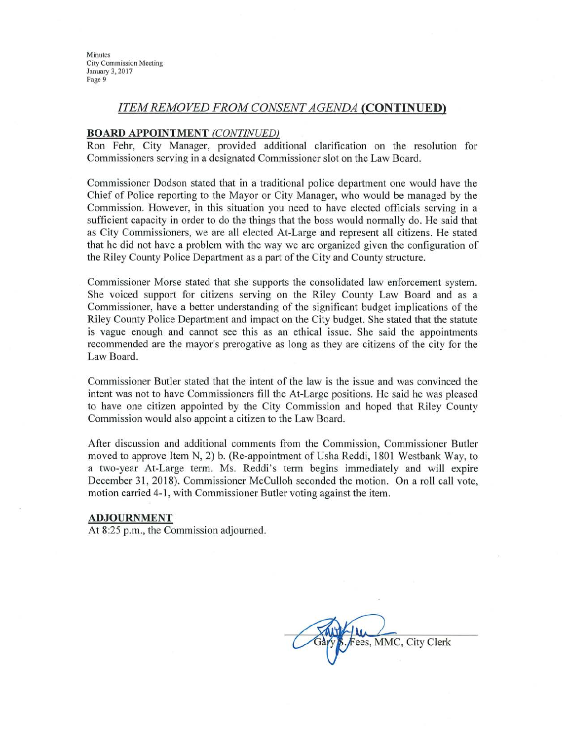#### **ITEM REMOVED FROM CONSENT AGENDA (CONTINUED)**

#### **BOARD APPOINTMENT (CONTINUED)**

Ron Fehr, City Manager, provided additional clarification on the resolution for Commissioners serving in a designated Commissioner slot on the Law Board.

Commissioner Dodson stated that in a traditional police department one would have the Chief of Police reporting to the Mayor or City Manager, who would be managed by the Commission. However, in this situation you need to have elected officials serving in a sufficient capacity in order to do the things that the boss would normally do. He said that as City Commissioners, we are all elected At-Large and represent all citizens. He stated that he did not have a problem with the way we are organized given the configuration of the Riley County Police Department as a part of the City and County structure.

Commissioner Morse stated that she supports the consolidated law enforcement system. She voiced support for citizens serving on the Riley County Law Board and as a Commissioner, have a better understanding of the significant budget implications of the Riley County Police Department and impact on the City budget. She stated that the statute is vague enough and cannot see this as an ethical issue. She said the appointments recommended are the mayor's prerogative as long as they are citizens of the city for the Law Board.

Commissioner Butler stated that the intent of the law is the issue and was convinced the intent was not to have Commissioners fill the At-Large positions. He said he was pleased to have one citizen appointed by the City Commission and hoped that Riley County Commission would also appoint a citizen to the Law Board.

After discussion and additional comments from the Commission, Commissioner Butler moved to approve Item N, 2) b. (Re-appointment of Usha Reddi, 1801 Westbank Way, to a two-year At-Large term. Ms. Reddi's term begins immediately and will expire December 31, 2018). Commissioner McCulloh seconded the motion. On a roll call vote, motion carried 4-1, with Commissioner Butler voting against the item.

#### **ADJOURNMENT**

At 8:25 p.m., the Commission adjourned.

ees, MMC, City Clerk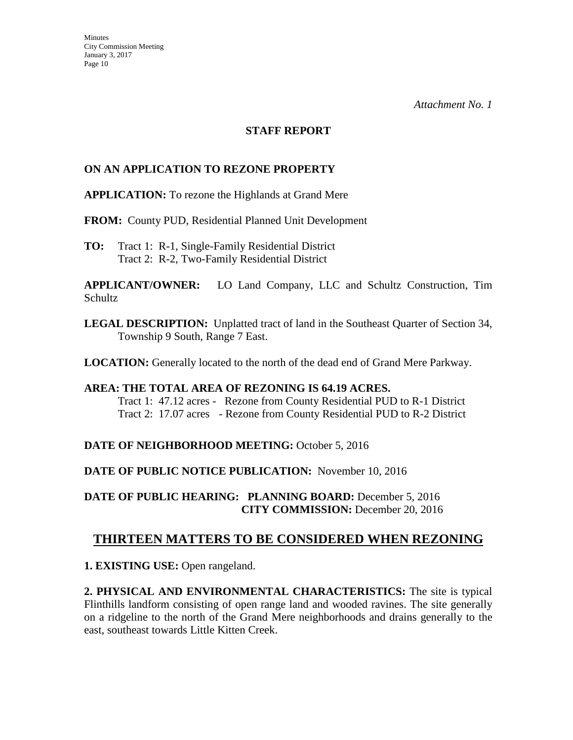### **STAFF REPORT**

### **ON AN APPLICATION TO REZONE PROPERTY**

**APPLICATION:** To rezone the Highlands at Grand Mere

**FROM:** County PUD, Residential Planned Unit Development

**TO:** Tract 1:R-1, Single-Family Residential District Tract 2: R-2, Two-Family Residential District

**APPLICANT/OWNER:** LO Land Company, LLC and Schultz Construction, Tim Schultz

**LEGAL DESCRIPTION:** Unplatted tract of land in the Southeast Quarter of Section 34, Township 9 South, Range 7 East.

**LOCATION:** Generally located to the north of the dead end of Grand Mere Parkway.

### **AREA: THE TOTAL AREA OF REZONING IS 64.19 ACRES.**  Tract 1: 47.12 acres - Rezone from County Residential PUD to R-1 District Tract 2: 17.07 acres - Rezone from County Residential PUD to R-2 District

### **DATE OF NEIGHBORHOOD MEETING:** October 5, 2016

**DATE OF PUBLIC NOTICE PUBLICATION:** November 10, 2016

**DATE OF PUBLIC HEARING: PLANNING BOARD:** December 5, 2016 **CITY COMMISSION:** December 20, 2016

## **THIRTEEN MATTERS TO BE CONSIDERED WHEN REZONING**

**1. EXISTING USE:** Open rangeland.

**2. PHYSICAL AND ENVIRONMENTAL CHARACTERISTICS:** The site is typical Flinthills landform consisting of open range land and wooded ravines. The site generally on a ridgeline to the north of the Grand Mere neighborhoods and drains generally to the east, southeast towards Little Kitten Creek.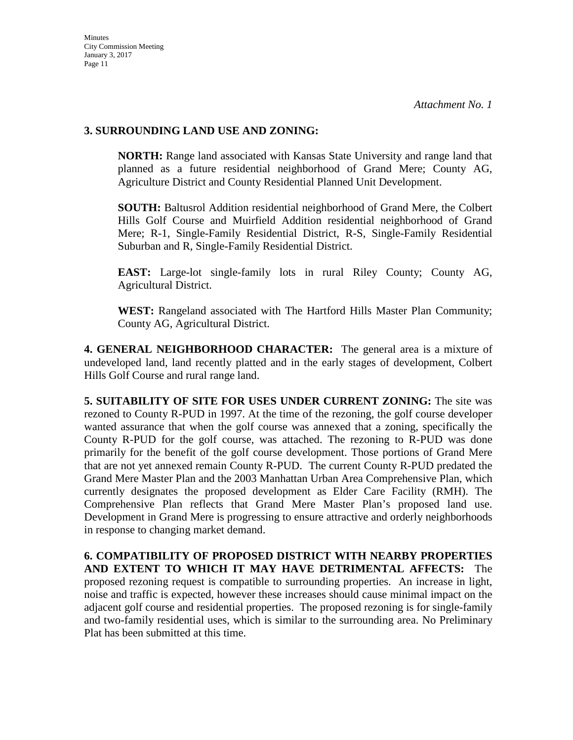### **3. SURROUNDING LAND USE AND ZONING:**

**NORTH:** Range land associated with Kansas State University and range land that planned as a future residential neighborhood of Grand Mere; County AG, Agriculture District and County Residential Planned Unit Development.

**SOUTH:** Baltusrol Addition residential neighborhood of Grand Mere, the Colbert Hills Golf Course and Muirfield Addition residential neighborhood of Grand Mere; R-1, Single-Family Residential District, R-S, Single-Family Residential Suburban and R, Single-Family Residential District.

**EAST:** Large-lot single-family lots in rural Riley County; County AG, Agricultural District.

**WEST:** Rangeland associated with The Hartford Hills Master Plan Community; County AG, Agricultural District.

**4. GENERAL NEIGHBORHOOD CHARACTER:** The general area is a mixture of undeveloped land, land recently platted and in the early stages of development, Colbert Hills Golf Course and rural range land.

**5. SUITABILITY OF SITE FOR USES UNDER CURRENT ZONING:** The site was rezoned to County R-PUD in 1997. At the time of the rezoning, the golf course developer wanted assurance that when the golf course was annexed that a zoning, specifically the County R-PUD for the golf course, was attached. The rezoning to R-PUD was done primarily for the benefit of the golf course development. Those portions of Grand Mere that are not yet annexed remain County R-PUD. The current County R-PUD predated the Grand Mere Master Plan and the 2003 Manhattan Urban Area Comprehensive Plan, which currently designates the proposed development as Elder Care Facility (RMH). The Comprehensive Plan reflects that Grand Mere Master Plan's proposed land use. Development in Grand Mere is progressing to ensure attractive and orderly neighborhoods in response to changing market demand.

**6. COMPATIBILITY OF PROPOSED DISTRICT WITH NEARBY PROPERTIES AND EXTENT TO WHICH IT MAY HAVE DETRIMENTAL AFFECTS:** The proposed rezoning request is compatible to surrounding properties. An increase in light, noise and traffic is expected, however these increases should cause minimal impact on the adjacent golf course and residential properties. The proposed rezoning is for single-family and two-family residential uses, which is similar to the surrounding area. No Preliminary Plat has been submitted at this time.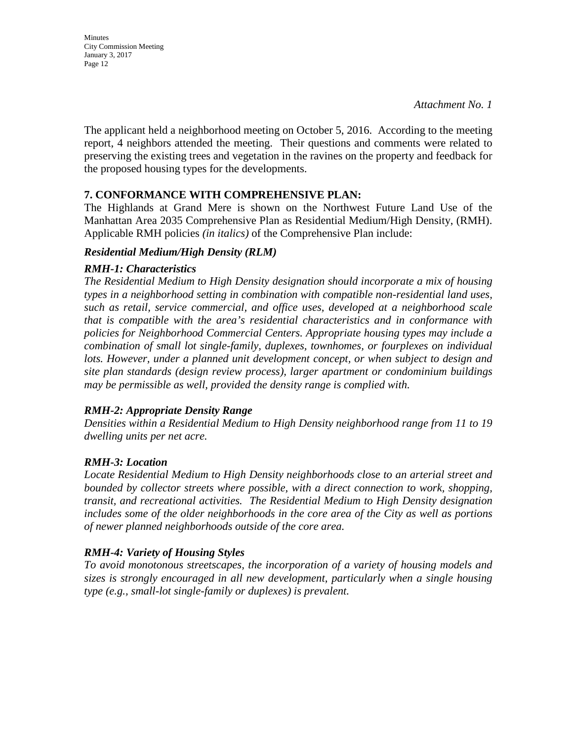Minutes City Commission Meeting January 3, 2017 Page 12

The applicant held a neighborhood meeting on October 5, 2016. According to the meeting report, 4 neighbors attended the meeting. Their questions and comments were related to preserving the existing trees and vegetation in the ravines on the property and feedback for the proposed housing types for the developments.

### **7. CONFORMANCE WITH COMPREHENSIVE PLAN:**

The Highlands at Grand Mere is shown on the Northwest Future Land Use of the Manhattan Area 2035 Comprehensive Plan as Residential Medium/High Density, (RMH). Applicable RMH policies *(in italics)* of the Comprehensive Plan include:

### *Residential Medium/High Density (RLM)*

### *RMH-1: Characteristics*

*The Residential Medium to High Density designation should incorporate a mix of housing types in a neighborhood setting in combination with compatible non-residential land uses, such as retail, service commercial, and office uses, developed at a neighborhood scale that is compatible with the area's residential characteristics and in conformance with policies for Neighborhood Commercial Centers. Appropriate housing types may include a combination of small lot single-family, duplexes, townhomes, or fourplexes on individual*  lots. However, under a planned unit development concept, or when subject to design and *site plan standards (design review process), larger apartment or condominium buildings may be permissible as well, provided the density range is complied with.* 

### *RMH-2: Appropriate Density Range*

*Densities within a Residential Medium to High Density neighborhood range from 11 to 19 dwelling units per net acre.* 

### *RMH-3: Location*

*Locate Residential Medium to High Density neighborhoods close to an arterial street and bounded by collector streets where possible, with a direct connection to work, shopping, transit, and recreational activities. The Residential Medium to High Density designation includes some of the older neighborhoods in the core area of the City as well as portions of newer planned neighborhoods outside of the core area.* 

### *RMH-4: Variety of Housing Styles*

*To avoid monotonous streetscapes, the incorporation of a variety of housing models and sizes is strongly encouraged in all new development, particularly when a single housing type (e.g., small-lot single-family or duplexes) is prevalent.*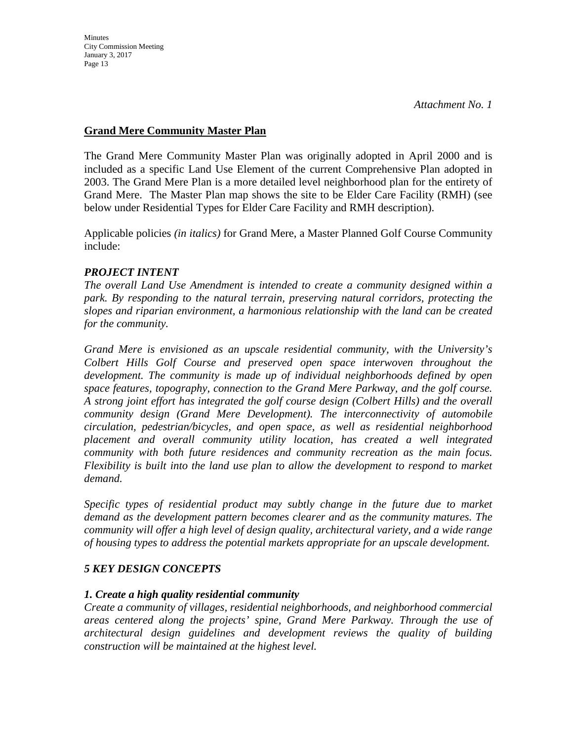## **Grand Mere Community Master Plan**

The Grand Mere Community Master Plan was originally adopted in April 2000 and is included as a specific Land Use Element of the current Comprehensive Plan adopted in 2003. The Grand Mere Plan is a more detailed level neighborhood plan for the entirety of Grand Mere. The Master Plan map shows the site to be Elder Care Facility (RMH) (see below under Residential Types for Elder Care Facility and RMH description).

Applicable policies *(in italics)* for Grand Mere, a Master Planned Golf Course Community include:

## *PROJECT INTENT*

*The overall Land Use Amendment is intended to create a community designed within a park. By responding to the natural terrain, preserving natural corridors, protecting the slopes and riparian environment, a harmonious relationship with the land can be created for the community.* 

*Grand Mere is envisioned as an upscale residential community, with the University's Colbert Hills Golf Course and preserved open space interwoven throughout the development. The community is made up of individual neighborhoods defined by open space features, topography, connection to the Grand Mere Parkway, and the golf course. A strong joint effort has integrated the golf course design (Colbert Hills) and the overall community design (Grand Mere Development). The interconnectivity of automobile circulation, pedestrian/bicycles, and open space, as well as residential neighborhood placement and overall community utility location, has created a well integrated community with both future residences and community recreation as the main focus. Flexibility is built into the land use plan to allow the development to respond to market demand.* 

*Specific types of residential product may subtly change in the future due to market demand as the development pattern becomes clearer and as the community matures. The community will offer a high level of design quality, architectural variety, and a wide range of housing types to address the potential markets appropriate for an upscale development.* 

## *5 KEY DESIGN CONCEPTS*

### *1. Create a high quality residential community*

*Create a community of villages, residential neighborhoods, and neighborhood commercial areas centered along the projects' spine, Grand Mere Parkway. Through the use of architectural design guidelines and development reviews the quality of building construction will be maintained at the highest level.*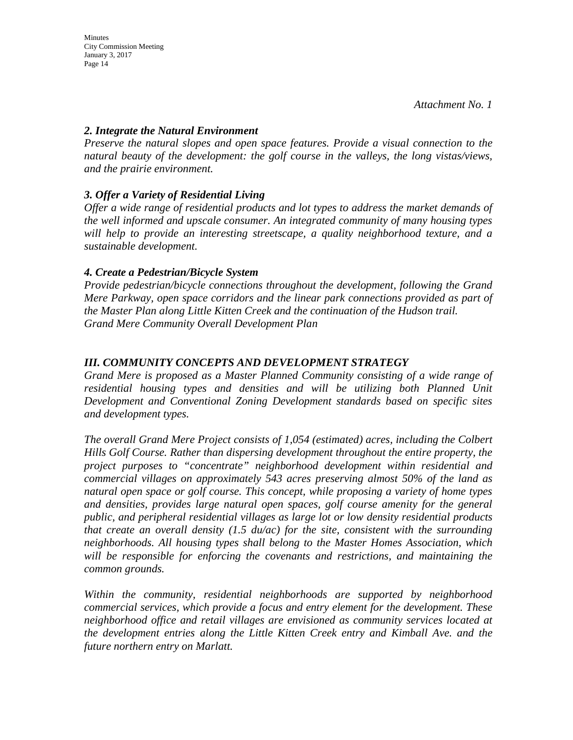### *2. Integrate the Natural Environment*

*Preserve the natural slopes and open space features. Provide a visual connection to the natural beauty of the development: the golf course in the valleys, the long vistas/views, and the prairie environment.* 

## *3. Offer a Variety of Residential Living*

*Offer a wide range of residential products and lot types to address the market demands of the well informed and upscale consumer. An integrated community of many housing types will help to provide an interesting streetscape, a quality neighborhood texture, and a sustainable development.* 

### *4. Create a Pedestrian/Bicycle System*

*Provide pedestrian/bicycle connections throughout the development, following the Grand Mere Parkway, open space corridors and the linear park connections provided as part of the Master Plan along Little Kitten Creek and the continuation of the Hudson trail. Grand Mere Community Overall Development Plan* 

## *III. COMMUNITY CONCEPTS AND DEVELOPMENT STRATEGY*

*Grand Mere is proposed as a Master Planned Community consisting of a wide range of residential housing types and densities and will be utilizing both Planned Unit Development and Conventional Zoning Development standards based on specific sites and development types.* 

*The overall Grand Mere Project consists of 1,054 (estimated) acres, including the Colbert Hills Golf Course. Rather than dispersing development throughout the entire property, the project purposes to "concentrate" neighborhood development within residential and commercial villages on approximately 543 acres preserving almost 50% of the land as natural open space or golf course. This concept, while proposing a variety of home types and densities, provides large natural open spaces, golf course amenity for the general public, and peripheral residential villages as large lot or low density residential products that create an overall density (1.5 du/ac) for the site, consistent with the surrounding neighborhoods. All housing types shall belong to the Master Homes Association, which will be responsible for enforcing the covenants and restrictions, and maintaining the common grounds.* 

*Within the community, residential neighborhoods are supported by neighborhood commercial services, which provide a focus and entry element for the development. These neighborhood office and retail villages are envisioned as community services located at the development entries along the Little Kitten Creek entry and Kimball Ave. and the future northern entry on Marlatt.*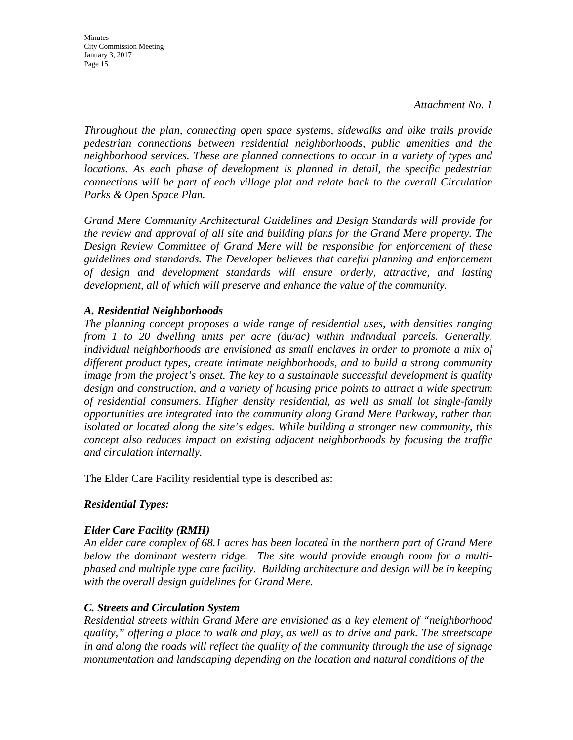**Minutes** City Commission Meeting January 3, 2017 Page 15

*Throughout the plan, connecting open space systems, sidewalks and bike trails provide pedestrian connections between residential neighborhoods, public amenities and the neighborhood services. These are planned connections to occur in a variety of types and locations. As each phase of development is planned in detail, the specific pedestrian connections will be part of each village plat and relate back to the overall Circulation Parks & Open Space Plan.* 

*Grand Mere Community Architectural Guidelines and Design Standards will provide for the review and approval of all site and building plans for the Grand Mere property. The Design Review Committee of Grand Mere will be responsible for enforcement of these guidelines and standards. The Developer believes that careful planning and enforcement of design and development standards will ensure orderly, attractive, and lasting development, all of which will preserve and enhance the value of the community.* 

### *A. Residential Neighborhoods*

*The planning concept proposes a wide range of residential uses, with densities ranging from 1 to 20 dwelling units per acre (du/ac) within individual parcels. Generally, individual neighborhoods are envisioned as small enclaves in order to promote a mix of different product types, create intimate neighborhoods, and to build a strong community image from the project's onset. The key to a sustainable successful development is quality design and construction, and a variety of housing price points to attract a wide spectrum of residential consumers. Higher density residential, as well as small lot single-family opportunities are integrated into the community along Grand Mere Parkway, rather than isolated or located along the site's edges. While building a stronger new community, this concept also reduces impact on existing adjacent neighborhoods by focusing the traffic and circulation internally.* 

The Elder Care Facility residential type is described as:

### *Residential Types:*

### *Elder Care Facility (RMH)*

*An elder care complex of 68.1 acres has been located in the northern part of Grand Mere below the dominant western ridge. The site would provide enough room for a multiphased and multiple type care facility. Building architecture and design will be in keeping with the overall design guidelines for Grand Mere.* 

### *C. Streets and Circulation System*

*Residential streets within Grand Mere are envisioned as a key element of "neighborhood quality," offering a place to walk and play, as well as to drive and park. The streetscape in and along the roads will reflect the quality of the community through the use of signage monumentation and landscaping depending on the location and natural conditions of the*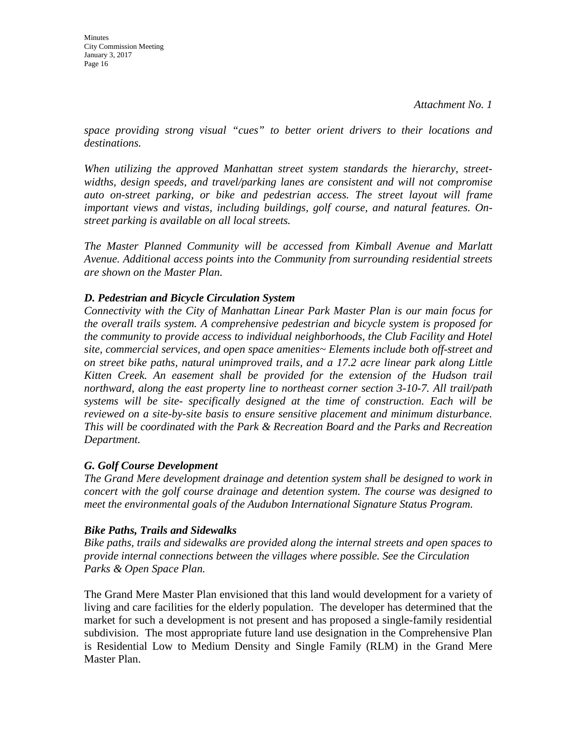*space providing strong visual "cues" to better orient drivers to their locations and destinations.* 

*When utilizing the approved Manhattan street system standards the hierarchy, streetwidths, design speeds, and travel/parking lanes are consistent and will not compromise auto on-street parking, or bike and pedestrian access. The street layout will frame important views and vistas, including buildings, golf course, and natural features. Onstreet parking is available on all local streets.* 

*The Master Planned Community will be accessed from Kimball Avenue and Marlatt Avenue. Additional access points into the Community from surrounding residential streets are shown on the Master Plan.* 

## *D. Pedestrian and Bicycle Circulation System*

*Connectivity with the City of Manhattan Linear Park Master Plan is our main focus for the overall trails system. A comprehensive pedestrian and bicycle system is proposed for the community to provide access to individual neighborhoods, the Club Facility and Hotel site, commercial services, and open space amenities~ Elements include both off-street and on street bike paths, natural unimproved trails, and a 17.2 acre linear park along Little Kitten Creek. An easement shall be provided for the extension of the Hudson trail northward, along the east property line to northeast corner section 3-10-7. All trail/path systems will be site- specifically designed at the time of construction. Each will be reviewed on a site-by-site basis to ensure sensitive placement and minimum disturbance. This will be coordinated with the Park & Recreation Board and the Parks and Recreation Department.* 

## *G. Golf Course Development*

*The Grand Mere development drainage and detention system shall be designed to work in concert with the golf course drainage and detention system. The course was designed to meet the environmental goals of the Audubon International Signature Status Program.* 

## *Bike Paths, Trails and Sidewalks*

*Bike paths, trails and sidewalks are provided along the internal streets and open spaces to provide internal connections between the villages where possible. See the Circulation Parks & Open Space Plan.* 

The Grand Mere Master Plan envisioned that this land would development for a variety of living and care facilities for the elderly population. The developer has determined that the market for such a development is not present and has proposed a single-family residential subdivision. The most appropriate future land use designation in the Comprehensive Plan is Residential Low to Medium Density and Single Family (RLM) in the Grand Mere Master Plan.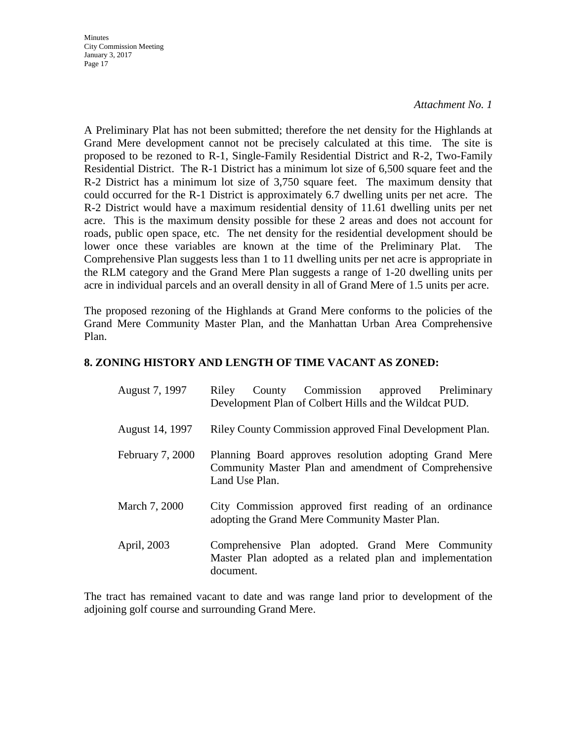#### *Attachment No. 1*

A Preliminary Plat has not been submitted; therefore the net density for the Highlands at Grand Mere development cannot not be precisely calculated at this time. The site is proposed to be rezoned to R-1, Single-Family Residential District and R-2, Two-Family Residential District. The R-1 District has a minimum lot size of 6,500 square feet and the R-2 District has a minimum lot size of 3,750 square feet. The maximum density that could occurred for the R-1 District is approximately 6.7 dwelling units per net acre. The R-2 District would have a maximum residential density of 11.61 dwelling units per net acre. This is the maximum density possible for these 2 areas and does not account for roads, public open space, etc. The net density for the residential development should be lower once these variables are known at the time of the Preliminary Plat. The Comprehensive Plan suggests less than 1 to 11 dwelling units per net acre is appropriate in the RLM category and the Grand Mere Plan suggests a range of 1-20 dwelling units per acre in individual parcels and an overall density in all of Grand Mere of 1.5 units per acre.

The proposed rezoning of the Highlands at Grand Mere conforms to the policies of the Grand Mere Community Master Plan, and the Manhattan Urban Area Comprehensive Plan.

### **8. ZONING HISTORY AND LENGTH OF TIME VACANT AS ZONED:**

| August 7, 1997   | Riley                                                    | County Commission approved Preliminary<br>Development Plan of Colbert Hills and the Wildcat PUD.               |  |  |  |
|------------------|----------------------------------------------------------|----------------------------------------------------------------------------------------------------------------|--|--|--|
| August 14, 1997  | Riley County Commission approved Final Development Plan. |                                                                                                                |  |  |  |
| February 7, 2000 | Land Use Plan.                                           | Planning Board approves resolution adopting Grand Mere<br>Community Master Plan and amendment of Comprehensive |  |  |  |
| March 7, 2000    |                                                          | City Commission approved first reading of an ordinance<br>adopting the Grand Mere Community Master Plan.       |  |  |  |
| April, 2003      | document.                                                | Comprehensive Plan adopted. Grand Mere Community<br>Master Plan adopted as a related plan and implementation   |  |  |  |

The tract has remained vacant to date and was range land prior to development of the adjoining golf course and surrounding Grand Mere.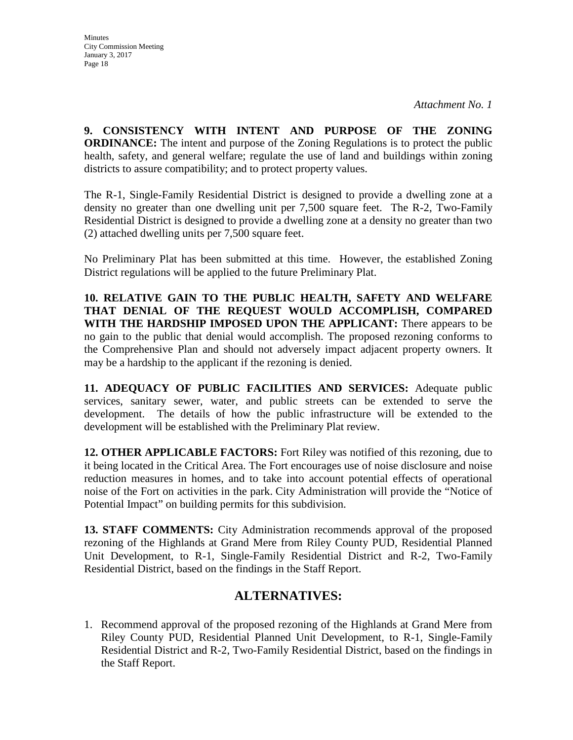**9. CONSISTENCY WITH INTENT AND PURPOSE OF THE ZONING ORDINANCE:** The intent and purpose of the Zoning Regulations is to protect the public health, safety, and general welfare; regulate the use of land and buildings within zoning districts to assure compatibility; and to protect property values.

The R-1, Single-Family Residential District is designed to provide a dwelling zone at a density no greater than one dwelling unit per 7,500 square feet. The R-2, Two-Family Residential District is designed to provide a dwelling zone at a density no greater than two (2) attached dwelling units per 7,500 square feet.

No Preliminary Plat has been submitted at this time. However, the established Zoning District regulations will be applied to the future Preliminary Plat.

**10. RELATIVE GAIN TO THE PUBLIC HEALTH, SAFETY AND WELFARE THAT DENIAL OF THE REQUEST WOULD ACCOMPLISH, COMPARED WITH THE HARDSHIP IMPOSED UPON THE APPLICANT:** There appears to be no gain to the public that denial would accomplish. The proposed rezoning conforms to the Comprehensive Plan and should not adversely impact adjacent property owners. It may be a hardship to the applicant if the rezoning is denied.

**11. ADEQUACY OF PUBLIC FACILITIES AND SERVICES:** Adequate public services, sanitary sewer, water, and public streets can be extended to serve the development. The details of how the public infrastructure will be extended to the development will be established with the Preliminary Plat review.

**12. OTHER APPLICABLE FACTORS:** Fort Riley was notified of this rezoning, due to it being located in the Critical Area. The Fort encourages use of noise disclosure and noise reduction measures in homes, and to take into account potential effects of operational noise of the Fort on activities in the park. City Administration will provide the "Notice of Potential Impact" on building permits for this subdivision.

**13. STAFF COMMENTS:** City Administration recommends approval of the proposed rezoning of the Highlands at Grand Mere from Riley County PUD, Residential Planned Unit Development, to R-1, Single-Family Residential District and R-2, Two-Family Residential District, based on the findings in the Staff Report.

## **ALTERNATIVES:**

1. Recommend approval of the proposed rezoning of the Highlands at Grand Mere from Riley County PUD, Residential Planned Unit Development, to R-1, Single-Family Residential District and R-2, Two-Family Residential District, based on the findings in the Staff Report.